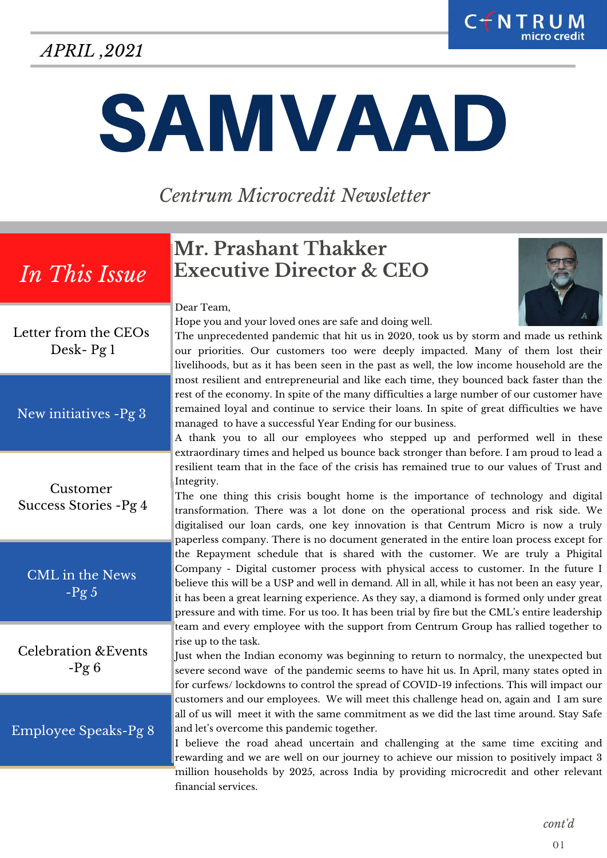## *APRIL ,2021*

# SAMVAAD

*Centrum Microcredit Newsletter*

## *In This Issue*

## **Mr. Prashant Thakker Executive Director & CEO**

Dear Team,

Hope you and your loved ones are safe and doing well.

The unprecedented pandemic that hit us in 2020, took us by storm and made us rethink our priorities. Our customers too were deeply impacted. Many of them lost their livelihoods, but as it has been seen in the past as well, the low income household are the most resilient and entrepreneurial and like each time, they bounced back faster than the rest of the economy. In spite of the many difficulties a large number of our customer have remained loyal and continue to service their loans. In spite of great difficulties we have managed to have a successful Year Ending for our business.

A thank you to all our employees who stepped up and performed well in these extraordinary times and helped us bounce back stronger than before. I am proud to lead a resilient team that in the face of the crisis has remained true to our values of Trust and Integrity.

The one thing this crisis bought home is the importance of technology and digital transformation. There was a lot done on the operational process and risk side. We digitalised our loan cards, one key innovation is that Centrum Micro is now a truly paperless company. There is no document generated in the entire loan process except for the Repayment schedule that is shared with the customer. We are truly a Phigital Company - Digital customer process with physical access to customer. In the future I believe this will be a USP and well in demand. All in all, while it has not been an easy year, it has been a great learning experience. As they say, a diamond is formed only under great pressure and with time. For us too. It has been trial by fire but the CML's entire leadership team and every employee with the support from Centrum Group has rallied together to rise up to the task.

Just when the Indian economy was beginning to return to normalcy, the unexpected but severe second wave of the pandemic seems to have hit us. In April, many states opted in for curfews/ lockdowns to control the spread of COVID-19 infections. This will impact our customers and our employees. We will meet this challenge head on, again and I am sure all of us will meet it with the same commitment as we did the last time around. Stay Safe and let's overcome this pandemic together.

I believe the road ahead uncertain and challenging at the same time exciting and rewarding and we are well on our journey to achieve our mission to positively impact 3 million households by 2025, across India by providing microcredit and other relevant financial services.

Letter from the CEOs Desk- Pg 1

New initiatives -Pg 3

Customer Success Stories -Pg 4

CML in the News  $-Pg 5$ 

Celebration &Events  $-Pg6$ 

Employee Speaks-Pg 8

*cont'd*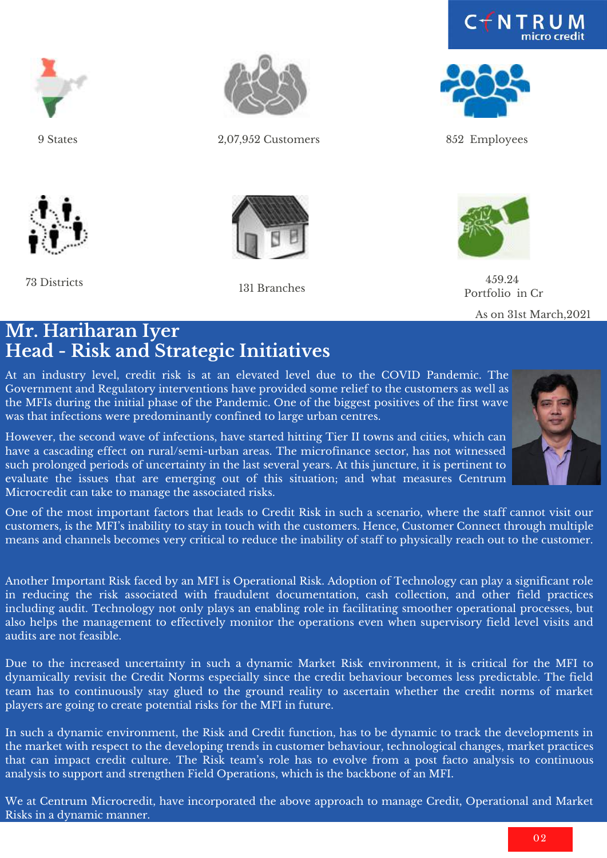



9 States



73 Districts



2,07,952 Customers 852 Employees



131 Branches





459.24 Portfolio in Cr

As on 31st March,2021

#### **Mr. Hariharan Iyer Head - Risk and Strategic Initiatives**

At an industry level, credit risk is at an elevated level due to the COVID Pandemic. The Government and Regulatory interventions have provided some relief to the customers as well as the MFIs during the initial phase of the Pandemic. One of the biggest positives of the first wave was that infections were predominantly confined to large urban centres.

However, the second wave of infections, have started hitting Tier II towns and cities, which can have a cascading effect on rural/semi-urban areas. The microfinance sector, has not witnessed such prolonged periods of uncertainty in the last several years. At this juncture, it is pertinent to evaluate the issues that are emerging out of this situation; and what measures Centrum Microcredit can take to manage the associated risks.



One of the most important factors that leads to Credit Risk in such a scenario, where the staff cannot visit our customers, is the MFI's inability to stay in touch with the customers. Hence, Customer Connect through multiple means and channels becomes very critical to reduce the inability of staff to physically reach out to the customer.

Another Important Risk faced by an MFI is Operational Risk. Adoption of Technology can play a significant role in reducing the risk associated with fraudulent documentation, cash collection, and other field practices including audit. Technology not only plays an enabling role in facilitating smoother operational processes, but also helps the management to effectively monitor the operations even when supervisory field level visits and audits are not feasible.

Due to the increased uncertainty in such a dynamic Market Risk environment, it is critical for the MFI to dynamically revisit the Credit Norms especially since the credit behaviour becomes less predictable. The field team has to continuously stay glued to the ground reality to ascertain whether the credit norms of market players are going to create potential risks for the MFI in future.

In such a dynamic environment, the Risk and Credit function, has to be dynamic to track the developments in the market with respect to the developing trends in customer behaviour, technological changes, market practices that can impact credit culture. The Risk team's role has to evolve from a post facto analysis to continuous analysis to support and strengthen Field Operations, which is the backbone of an MFI.

We at Centrum Microcredit, have incorporated the above approach to manage Credit, Operational and Market Risks in a dynamic manner.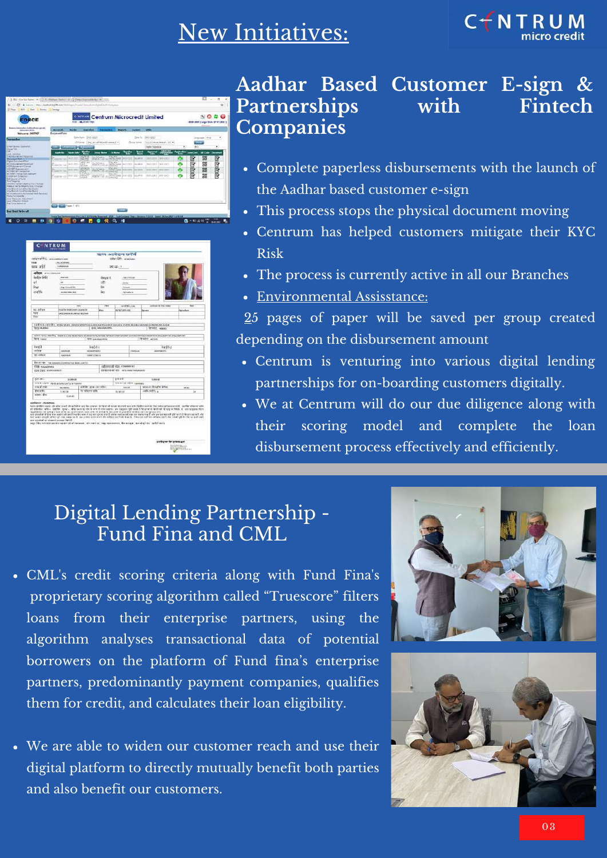# New Initiatives:

![](_page_2_Picture_1.jpeg)

![](_page_2_Picture_2.jpeg)

| appeared to recommence                                                   |                                                      |                                 |                   | ऋण आवेदन फॉर्म<br>anker life, sanaraan |                          |                                                                                                                                                                                                                                                                                                                                                                                                                                                                                                                                                                                                                                                                                                                                                                                                                                         |                 |
|--------------------------------------------------------------------------|------------------------------------------------------|---------------------------------|-------------------|----------------------------------------|--------------------------|-----------------------------------------------------------------------------------------------------------------------------------------------------------------------------------------------------------------------------------------------------------------------------------------------------------------------------------------------------------------------------------------------------------------------------------------------------------------------------------------------------------------------------------------------------------------------------------------------------------------------------------------------------------------------------------------------------------------------------------------------------------------------------------------------------------------------------------------|-----------------|
| 2,918<br><b>BALASOFINA</b><br>ass and<br>TEMPORTAL                       |                                                      |                                 | 20100-1-          |                                        |                          |                                                                                                                                                                                                                                                                                                                                                                                                                                                                                                                                                                                                                                                                                                                                                                                                                                         |                 |
| <b>STOCK</b> IFIATIVALIAN                                                |                                                      |                                 |                   |                                        |                          |                                                                                                                                                                                                                                                                                                                                                                                                                                                                                                                                                                                                                                                                                                                                                                                                                                         |                 |
| its los finds                                                            | <b>STATIST</b>                                       |                                 | 38247             |                                        | -TACTES                  |                                                                                                                                                                                                                                                                                                                                                                                                                                                                                                                                                                                                                                                                                                                                                                                                                                         |                 |
| wif                                                                      | z.                                                   |                                 | аŘ                | <b>MARK</b>                            |                          |                                                                                                                                                                                                                                                                                                                                                                                                                                                                                                                                                                                                                                                                                                                                                                                                                                         |                 |
| <b>Rhair</b>                                                             | <b>High Scienced SAV</b>                             |                                 | šм                | <b>Farmer</b>                          |                          |                                                                                                                                                                                                                                                                                                                                                                                                                                                                                                                                                                                                                                                                                                                                                                                                                                         |                 |
| जारीकी                                                                   | 25/98/10021401                                       |                                 | ČET               | Amalan                                 |                          |                                                                                                                                                                                                                                                                                                                                                                                                                                                                                                                                                                                                                                                                                                                                                                                                                                         |                 |
|                                                                          |                                                      |                                 |                   |                                        |                          |                                                                                                                                                                                                                                                                                                                                                                                                                                                                                                                                                                                                                                                                                                                                                                                                                                         |                 |
|                                                                          | ÷                                                    |                                 | $\overline{r}$    | WEEPS YOU                              |                          | unitors in your may                                                                                                                                                                                                                                                                                                                                                                                                                                                                                                                                                                                                                                                                                                                                                                                                                     | <b>Time</b>     |
| EL-KITER                                                                 | most behinderwest insurancies                        |                                 | house.            | <b>CLASS LESS AND</b>                  |                          | Zener                                                                                                                                                                                                                                                                                                                                                                                                                                                                                                                                                                                                                                                                                                                                                                                                                                   | Nettelland      |
| <b>HOUT</b>                                                              | VASCONER BAJARAM BELEVAS                             |                                 |                   |                                        |                          |                                                                                                                                                                                                                                                                                                                                                                                                                                                                                                                                                                                                                                                                                                                                                                                                                                         |                 |
| Farin                                                                    |                                                      |                                 |                   |                                        |                          |                                                                                                                                                                                                                                                                                                                                                                                                                                                                                                                                                                                                                                                                                                                                                                                                                                         |                 |
|                                                                          |                                                      |                                 |                   |                                        |                          |                                                                                                                                                                                                                                                                                                                                                                                                                                                                                                                                                                                                                                                                                                                                                                                                                                         |                 |
| three not desire.                                                        |                                                      |                                 | TEST SENAMALA PTA |                                        |                          | U.H.S. N. S. HARRY LESS AND MORE CANDISTIC MALLINDAN POUS REAL BURGEA, 1945 & MARKLAND AN HOUSE DA BASE<br>FETRIS, NEOES                                                                                                                                                                                                                                                                                                                                                                                                                                                                                                                                                                                                                                                                                                                |                 |
| <b>budit</b><br>seite p                                                  | SADHAAR                                              | $k$ ačia s<br><b>MISSIONARI</b> | <b>Sharpard</b>   |                                        | 33000<br><b>MARGAZZZ</b> |                                                                                                                                                                                                                                                                                                                                                                                                                                                                                                                                                                                                                                                                                                                                                                                                                                         |                 |
| re-askes                                                                 | SAUDILLE                                             | 100901110818                    |                   |                                        |                          |                                                                                                                                                                                                                                                                                                                                                                                                                                                                                                                                                                                                                                                                                                                                                                                                                                         |                 |
|                                                                          | distribution. The compute concernative associates to |                                 |                   |                                        |                          |                                                                                                                                                                                                                                                                                                                                                                                                                                                                                                                                                                                                                                                                                                                                                                                                                                         |                 |
|                                                                          |                                                      |                                 |                   | LEFORETOR WEN: ADMINISTRATION          |                          |                                                                                                                                                                                                                                                                                                                                                                                                                                                                                                                                                                                                                                                                                                                                                                                                                                         |                 |
| <b>TRE ANNIPHIA</b>                                                      |                                                      |                                 |                   | ESPECIFIE INTE - INTE AMACHINAMIAN     |                          |                                                                                                                                                                                                                                                                                                                                                                                                                                                                                                                                                                                                                                                                                                                                                                                                                                         |                 |
| <b>BIN UND ROBOLERINGS</b>                                               |                                                      |                                 |                   |                                        |                          |                                                                                                                                                                                                                                                                                                                                                                                                                                                                                                                                                                                                                                                                                                                                                                                                                                         |                 |
|                                                                          |                                                      |                                 |                   |                                        |                          |                                                                                                                                                                                                                                                                                                                                                                                                                                                                                                                                                                                                                                                                                                                                                                                                                                         |                 |
| <b>CAR ABO</b>                                                           | 11,550.00                                            |                                 |                   | करा सर्व                               |                          | 1,300.00                                                                                                                                                                                                                                                                                                                                                                                                                                                                                                                                                                                                                                                                                                                                                                                                                                |                 |
|                                                                          | THE R LOOK ASSOCIATE, CATLE & FIGHTY                 |                                 |                   | WHIPFIER HOLD reserves                 |                          |                                                                                                                                                                                                                                                                                                                                                                                                                                                                                                                                                                                                                                                                                                                                                                                                                                         |                 |
| ma allow                                                                 | \$1,000.00                                           | KINDET KIND LAY WATER           |                   | <b>VALUE</b>                           |                          | sava av (Rosalva avtes)                                                                                                                                                                                                                                                                                                                                                                                                                                                                                                                                                                                                                                                                                                                                                                                                                 | 33, 81          |
| <b>切れま</b>                                                               | 1.80.00                                              | REVENUES VISS                   |                   | 26.901.00                              |                          | and to end in the                                                                                                                                                                                                                                                                                                                                                                                                                                                                                                                                                                                                                                                                                                                                                                                                                       | $\overline{18}$ |
| aream disc                                                               | 1444.00                                              |                                 |                   |                                        |                          |                                                                                                                                                                                                                                                                                                                                                                                                                                                                                                                                                                                                                                                                                                                                                                                                                                         |                 |
| and became efficiently and<br>was interview we whose situations (4-4-8). |                                                      |                                 |                   |                                        |                          | Remarkting ages situates aveil at word at was be present in fard via wave at endt and utilitation and in the role satisponents. Inselfar starrer admi<br>all officials in play + 124784, more + direction and in the determination of the company officials of the annihil that of rest in the fields of the company them.<br>agatator al ultipo est d'it ap anti este una alla d'artif is se par a partifi el dia arua gopo ani.<br>So anvitat il fra via associat pell vario avoit apar que s'artif cera aspecit va se sete ve d'ar se prae al gir avò l'ilim<br>मिल इस ० कहती चमिल थी छह पस्ता गया है। इस उत्तर साल करने तोर स्लेकर करने को किस है। फिस एवं सालिब स्लॉक्स करने और उत्तर पड़ी के टीम पर इसी समी<br>sage files exhibit service square et whose suice, aircrain or, may not events. Bu wrope, not shell be spelled ords |                 |

#### **Aadhar Based Customer E-sign & Partnerships with Fintech Companies**

- Complete paperless disbursements with the launch of the Aadhar based customer e-sign
- This process stops the physical document moving
- Centrum has helped customers mitigate their KYC Risk
- The process is currently active in all our Branches
- Environmental Assisstance:

25 pages of paper will be saved per group created depending on the disbursement amount

- Centrum is venturing into various digital lending partnerships for on-boarding customers digitally.
- We at Centrum will do our due diligence along with their scoring model and complete the loan disbursement process effectively and efficiently.

## Digital Lending Partnership - Fund Fina and CML

- CML's credit scoring criteria along with Fund Fina's proprietary scoring algorithm called "Truescore" filters loans from their enterprise partners, using the algorithm analyses transactional data of potential borrowers on the platform of Fund fina's enterprise partners, predominantly payment companies, qualifies them for credit, and calculates their loan eligibility.
- We are able to widen our customer reach and use their digital platform to directly mutually benefit both parties and also benefit our customers.

![](_page_2_Picture_16.jpeg)

![](_page_2_Picture_17.jpeg)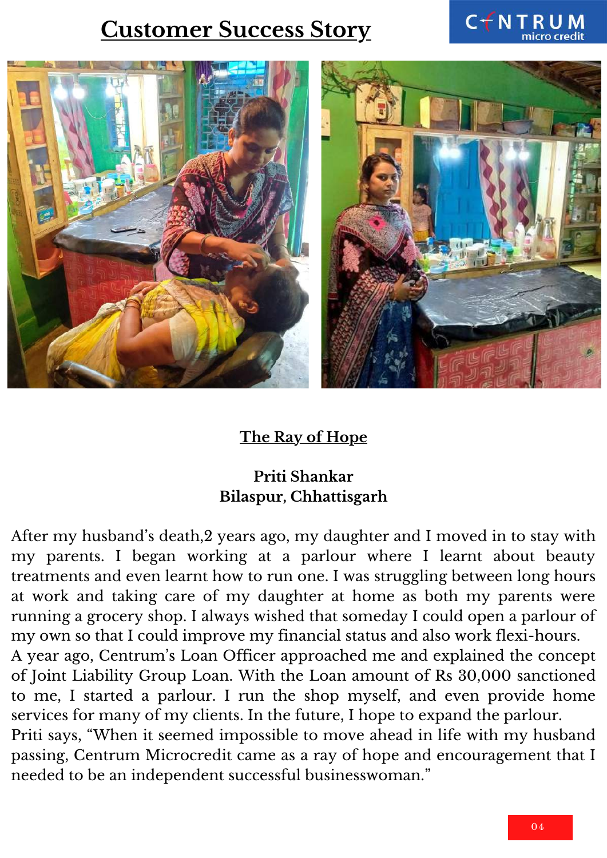## **Customer Success Story**

![](_page_3_Picture_1.jpeg)

#### **The Ray of Hope**

#### **Priti Shankar Bilaspur, Chhattisgarh**

After my husband's death,2 years ago, my daughter and I moved in to stay with my parents. I began working at a parlour where I learnt about beauty treatments and even learnt how to run one. I was struggling between long hours at work and taking care of my daughter at home as both my parents were running a grocery shop. I always wished that someday I could open a parlour of my own so that I could improve my financial status and also work flexi-hours.

A year ago, Centrum's Loan Officer approached me and explained the concept of Joint Liability Group Loan. With the Loan amount of Rs 30,000 sanctioned to me, I started a parlour. I run the shop myself, and even provide home services for many of my clients. In the future, I hope to expand the parlour.

Priti says, "When it seemed impossible to move ahead in life with my husband passing, Centrum Microcredit came as a ray of hope and encouragement that I needed to be an independent successful businesswoman."

CTNTRUM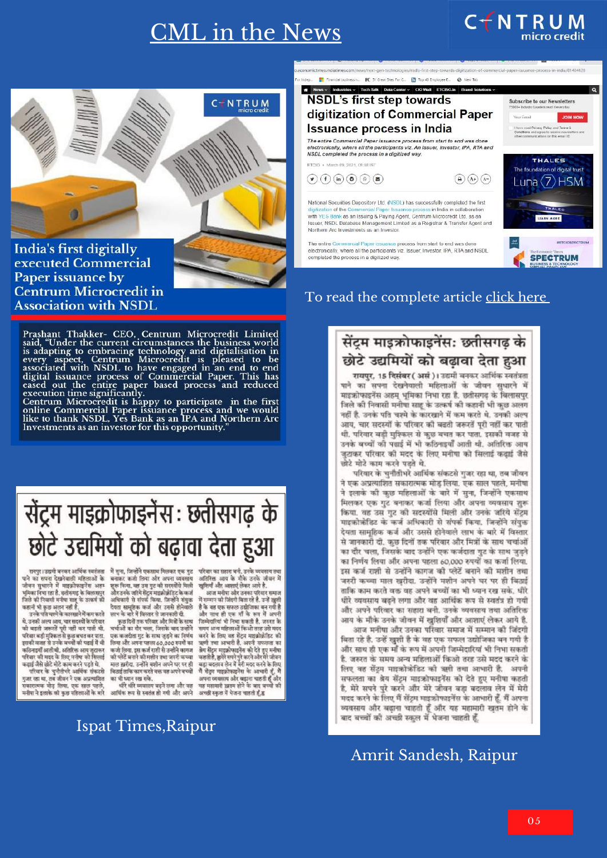## CML in the News

![](_page_4_Picture_1.jpeg)

India's first digitally executed Commercial Paper issuance by **Centrum Microcredit in Association with NSDL** 

रायपुर। उद्यमी बनकर आर्थिक स्वतंत्रता

पाने का सपना देखनेवाली महिलाओं के

जीवन सुधारने में माइक्रोफाइनेंस अहम<br>भूमिकानिभा रहा है. छत्तीसगढ़ के बिलासपुर

जिले की निवासी मनीपा साह के उत्कर्ष की<br>कहानी भी कुछ अलग नहीं है.

थे. उनकी अल्प अाय, चार सदस्यों के परिवार

य, उनका अपने आप, पार सपरमा के पायता है<br>परिवार बड़ी मुश्किल से फुछ बचत कर पाता.<br>परिवार बड़ी मुश्किल से फुछ बचत कर पाता.<br>कलिनाइयों आती थी. अतिरिक्त अप जुटाकर<br>परिवार की मदद के लिए मनीषा को सिलाई<br>कढ़ाई जैसे छोटे मोटे काम करने

परिवार के चुनौतीभरे आर्थिक संकटसे

गुजर राग्न था, तब जीवन ने एक अप्रत्याशित

-<br>सकारात्मक मोड़ लिया. एक साल पहले,<br>मनीषा ने इलाके की कुछ महिलाओं के बारे

oini भा कुछ अलग गठा ठ.<br>उनके पति चश्मे के कारखाने में कम करते

Prashant Thakker- CEO, Centrum Microcredit Limited<br>said, "Under the current circumstances the business world<br>is adapting to embracing technology and digitalisation in<br>every aspect, Centrum Microcredit is pleased to be<br>asso

Exercision intersection is happy to participate in the first<br>centrum Microcredit is happy to participate in the first<br>online Commercial Paper issuance process and we would<br>like to thank NSDL, Yes Bank as an IPA and Norther

# सेंट्रम माइक्रोफाइनेंस: छतीसगढ के छोटे उद्यमियों को बढ़ावा देता हुआ

अतिरिक्त अग्रय के मौके जनके जीवन में खुशियाँ और आशाएं लेकर अत्ये है.<br>आज मनीषा और उनका परिवार समाज

में सम्मान की जिंदगी बिता रहे है. उन्हें खुशी है के वह एक सफल उद्योजिका बन गयी है और साथ ही एक माँ के रूप में अपनी जिम्मेदारियां भी निभा सकती है, जरुरत के समय अन्य महिलाओं किओ तरह उसे मदद करने के लिए वह सेंट्रम माइक्रोक्रेडिट की ऋणी तथा आभारी है, अपनी सफलता का खना तथा आभारा 6. अपना सफलता का<br>बेब सेंट्रम माइक्रोफाइनेंस को देते हुए मनीया<br>कहती है, हमेरे सपने पुरे करने और मेरे जीवन<br>बढ़ा बदलाव लेन में मेरी मदद करने के लिए मैं सेंट्रम माइक्रोफाइनेंस के आधारी हूँ, मैं न सदन मारक्राकारना के आभाग है, न<br>अपना व्यवसाय और बड़ाना चाहती हूँ और<br>यह महामारी ख़तम होने के बाद बच्चों की<br>अच्छी स्कुल में भेजना चाहती हूँ,ह्व

.<br>मैं सुना, जिन्होंने एकसाथ मिलकर एक गुट बनाकर कर्जा लिया और अपना व्यवसाय भूरू किया. वह उस गुट की सदस्योंसे मिली<br>और उनके जरिये सेंट्रम माइक्रोक्रोडिट के कर्ज<br>अधिकारी से संपर्क किया. जिन्होंने संयुक्त देवता सामूहिक कर्ज और उससे होनेवाले

दनता सामूहक कन्न जार उससे सानवाल<br>लाभ के बारे में विस्तार से जानकारी दी.<br>कुछ दिनों तक परिवार और मित्रों के साथ चर्चाओं का दौर चला. जिसके बाद उन्होंने एक कजदाता गुट के साथ जुड़ने का निर्णय लिया और अपना पहला 60,000 रुपयों का<br>कर्जा लिया. इस कर्ज राशी से उन्होंने कागज को प्लेटें बनाने को मशीन तथा जबरी कच्चा माल ख़रीदा. उन्होंने मशीन अपने घर पर ही बिठाई ताकि काम करते वक्त वह अपने बच्चों का भी ध्यान रख सके.

धीरे शीरे स्वयम्मर बढने लगा और वह आर्थिक रूप से स्वतंत हो गयी और अपने

#### Ispat Times,Raipur

#### s/next-gen-technologies/nsdfs-first-step-towards-digitization-of-commercial-paper-issuance-process-in-india/81404128 ses indiationes com/no Financial business n. **FC** 51 Great Stes For C. **EX** Top 40 Employee E. **@** New Tab s v Industries v Tech-Talk Data Center v CIO Wall ETCISO.In Brand Solutions v NSDL's first step towards Subscribe to our Newsletters digitization of Commercial Paper **Your Email JOIN NOW Issuance process in India** A imital Conditions and agree to receive The entire Commercial Paper issuance process from start to end was done electronically, where all the participants viz. An issuer, investor, IPA, RTA and NSDL completed the process in a digitized way **THALES** ETCIO + March 09, 2021, 08:48:183 The foundation of digital trust  $\textcircled{\scriptsize{*}}~(f)~\textcircled{\scriptsize{*}}~(a)~\textcircled{\scriptsize{*}}~(a)$  $\bigodot$   $\bigodot$   $\bigodot$ Luna $\langle 7 \rangle$ HSM National Securities Depository Ltd. (NSDL) has successfully completed the first essiony completed the nis<br>ess in India in collaboration THALE ation of the C with YES Bank as an Issuing & Paying Agent, Centrum Microcredit Ltd, as an LEARN MORE suer, NSDL Database Management Limited as a Registrar & Transfer Agent and Northern Arc Investments as an Investor **EFTCIOSDECTOUM** The entire Comm nce process from start to end was done electronically, where all the participants viz. Issuer, Investor, IPA, RTA and NSDL **SPECTRUM** completed the process in a digitized way

 $C$   $\uparrow$  N T R U M<br>micro credit

#### To read the complete article [click](https://cio.economictimes.indiatimes.com/news/next-gen-technologies/nsdls-first-step-towards-digitization-of-commercial-paper-issuance-process-in-india/81404128) h[e](https://cio.economictimes.indiatimes.com/news/next-gen-technologies/nsdls-first-step-towards-digitization-of-commercial-paper-issuance-process-in-india/81404128)re

![](_page_4_Picture_14.jpeg)

रायपुर, 15 दिसंबर (असं)। उद्यमी बनकर आर्थिक स्वतंत्रता पाने का सपना देखनेवाली महिलाओं के जीवन सुधारने में माइफ्रोफाइनेंस अहम् भूमिका निभा रहा है. छतीसगढ़ के बिलासपुर जिले की निवासी मनीषा साहू के उत्कर्ष की कहानी भी कुछ अलग नहीं है. उनके पति चश्मे के कारखाने में कम करते थे. उनकी अल्प आय, चार सदस्यों के परिवार की बढती जरूरतें पूरी नहीं कर पाती थी. परिवार बड़ी मुश्किल से कुछ बचत कर पाता. इसकी वजह से उनके बच्चों को पढ़ाई में भी कठिनाइयाँ आती थी. अतिरिक्त आय जुटाकर परिवार की मदद के लिए मनीया को सिलाई कड़ाई जैसे छोटे मोटे काम करने पड़ते थे.

परिवार के चुनौतीभरे आर्थिक संकटसे गुजर रहा था, तब जीवन ने एक अप्रत्याशित सकारात्मक मोड़ लिया. एक साल पहले, मनीषा ने इलाके की कुछ महिलाओं के बारे में सुना, जिन्होंने एकसाथ मिलकर एक गुट बनाकर कर्जा लिया और अपना व्यवसाय शुरू किया. वह उस गुट की सदस्योंसे मिली और उनके जरिये सेंट्रम माइक्रोक्रेडिट के कर्ज अधिकारी से संपर्क किया. जिन्होंने संयुक्त देयता सामूहिक कर्ज और उससे होनेवाले लाभ के बारे में विस्तार से जानकारी दी. कुछ दिनों तक परिवार और मित्रों के साथ चर्चाओं का दौर चला, जिसके बाद उन्होंने एक कर्जदाता गुट के साथ जुड़ने का निर्णय लिया और अपना पहला 60,000 रुपयों का कर्जा लिया. इस कर्ज राशी से उन्होंने कागज की प्लेटें बनाने की मशीन तथा जरुरी कच्चा माल खरीदा. उन्होंने मशीन अपने घर पर ही बिठाई ताकि काम करते वक्त वह अपने बच्चों का भी ध्यान रख सके. धीरे धीरे व्ययसाय बढ़ने लगा और वह आर्थिक रूप से स्वतंत्र हो गयी और अपने परिवार का सहारा बनी. उनके व्यवसाय तथा अतिरिक्त आय के मौके उनके जीवन में खुशियाँ और आशाएं लेकर आये है.

आज मनीषा और उनका परिवार समाज में सम्मान की जिंदगी बिता रहे है. उन्हें खुशी है के वह एक सफल उद्योजिका बन गयी है और साथ ही एक माँ के रूप में अपनी जिम्मेदारियां भी निभा सकती है. जरुरत के समय अन्य महिलाओं किओ तरह उसे मदद करने के लिए वह सेंट्रम माइफ्रोफ़ेडिट को ऋगी तथा आभारी है. अपनी सफलता का बेय सेंट्रम माइक्रोफाइनेंस को देते हुए मनीषा कहती है, मेरे सपने पुरे करने और मेरे जीवन बड़ा बदलाव लेन में मेरी मदद करने के लिए मैं सेंट्रम माइक्रोफाइनेंस के आभारी हूँ. मैं अपना व्यवसाय और बढ़ाना चाहती हूँ और यह महामारी खुतम होने के बाद बच्चों की अच्छी स्कुल में भेजना चाहती हूँ,

Amrit Sandesh, Raipur

05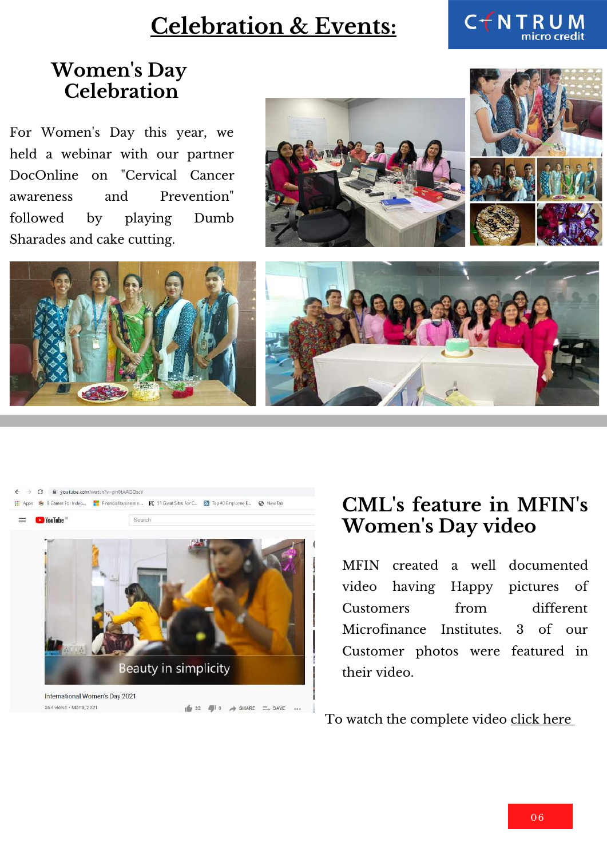## **Celebration & Events:**

![](_page_5_Picture_1.jpeg)

#### **Women ' s Day Celebration**

For Women's Day this year, we held a webinar with our partner DocOnline on "Cervical Cancer awareness and Prevention" followed by playing Dumb Sharades and cake cutting.

![](_page_5_Picture_4.jpeg)

![](_page_5_Picture_5.jpeg)

![](_page_5_Picture_6.jpeg)

![](_page_5_Picture_7.jpeg)

## **CML' s feature in MFIN' s Women 's Day video**

MFIN created a well documented video having Happy pictures of Customers from different Microfinance Institutes. 3 of our Customer photos were featured in their video.

To watch the complete video [click](https://www.youtube.com/watch?v=pn0tAAGQscY) here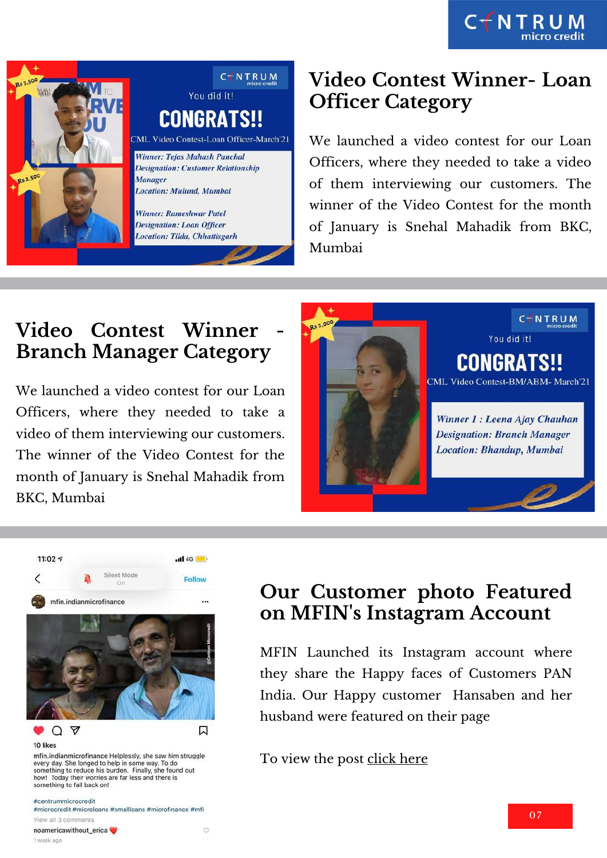CTNTRUM

![](_page_6_Picture_1.jpeg)

#### **Video Contest Winner- Loan Officer Category**

We launched a video contest for our Loan Officers, where they needed to take a video of them interviewing our customers. The winner of the Video Contest for the month of January is Snehal Mahadik from BKC, Mumbai

## **Video Contest Winner - Branch Manager Category**

We launched a video contest for our Loan Officers, where they needed to take a video of them interviewing our customers. The winner of the Video Contest for the month of January is Snehal Mahadik from BKC, Mumbai

![](_page_6_Picture_6.jpeg)

![](_page_6_Picture_7.jpeg)

#### #centrummicrocredit

1 week ago

#microcredit #microloans #smallloans #microfinance #mfi View all 3 comments noamericawithout\_erica  $\circ$ 

#### **Our Customer photo Featured on MFIN' s Instagram Account**

MFIN Launched its Instagram account where they share the Happy faces of Customers PAN India. Our Happy customer Hansaben and her husband were featured on their page

To view the post [click](https://www.instagram.com/p/CNH460sH2xN/?igshid=sinwxplxu7mw) here